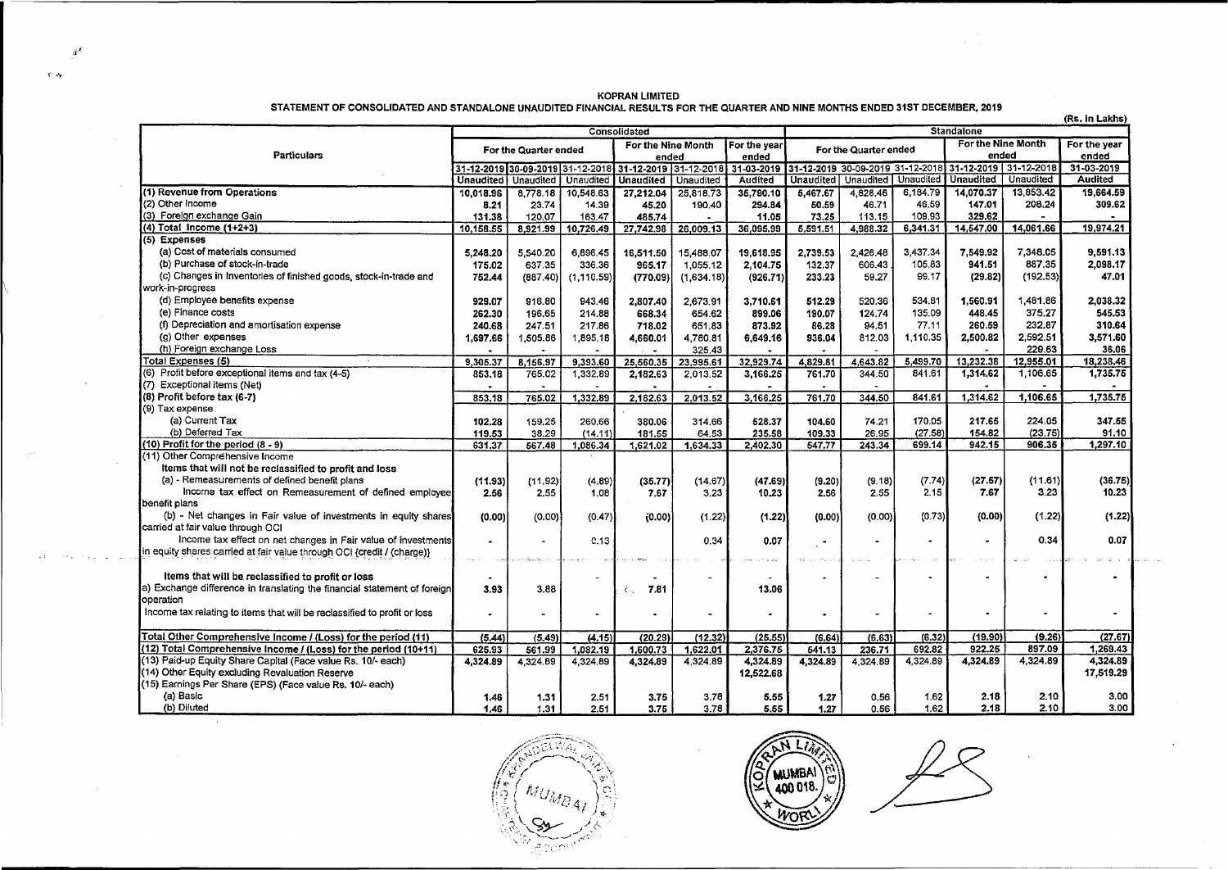| <b>KOPRAN LIMITED</b>                                                                                                          |  |
|--------------------------------------------------------------------------------------------------------------------------------|--|
| STATEMENT OF CONSOLIDATED AND STANDALONE UNAUDITED FINANCIAL RESULTS FOR THE QUARTER AND NINE MONTHS ENDED 31ST DECEMBER, 2019 |  |

 $\sigma^2$ 

 $\sim$ 

 $\langle \Delta \Phi \rangle$  . The constant  $\Delta \phi$  and

 $\sim$ 

 $\sim$   $\sim$ 

 $\sim 10^7$ 

 $\sim$ 

 $\langle \cdot \rangle$  .

V.

 $\sim 10^{-1}$ 

|                                                                           | (Rs. in Lakhs)<br><b>Standalone</b><br><b>Consolidated</b> |                      |                                  |                       |            |              |                       |           |           |                                                        |                  |                |
|---------------------------------------------------------------------------|------------------------------------------------------------|----------------------|----------------------------------|-----------------------|------------|--------------|-----------------------|-----------|-----------|--------------------------------------------------------|------------------|----------------|
|                                                                           | For the Nine Month                                         |                      |                                  |                       |            | For the year | For the Nine Month    |           |           |                                                        |                  | For the year   |
| <b>Particulars</b>                                                        | For the Quarter ended                                      |                      |                                  | ended                 |            | ended        | For the Quarter ended |           |           | ended                                                  |                  | ended          |
|                                                                           |                                                            |                      | 31-12-2019 30-09-2019 31-12-2018 | 31-12-2019 31-12-2018 |            | 31-03-2019   |                       |           |           | 31-12-2019 30-09-2019 31-12-2018 31-12-2019 31-12-2018 |                  | 31-03-2019     |
|                                                                           | <b>Unaudited</b>                                           | Unaudited            | Unaudited                        | <b>Unaudited</b>      | Unaudited  | Audited      | Unaudited             | Unaudited | Unaudited | <b>Unaudited</b>                                       | <b>Unaudited</b> | <b>Audited</b> |
| (1) Revenue from Operations                                               | 10,018.96                                                  | 8,778.18             | 10,548.63                        | 27.212.04             | 25,818.73  | 35,790.10    | 5.467.67              | 4.828.46  | 6.184.79  | 14.070.37                                              | 13.853.42        | 19.664.59      |
| (2) Other Income                                                          | 8.21                                                       | 23.74                | 14.39                            | 45.20                 | 190.40     | 294.84       | 50.59                 | 46.71     | 46.59     | 147.01                                                 | 208.24           | 309.62         |
| (3) Foreign exchange Gain                                                 | 131.38                                                     | 120.07               | 163.47                           | 485,74                |            | 11.05        | 73.25                 | 113.15    | 109.93    | 329.62                                                 |                  |                |
| $(4)$ Total Income $(1+2+3)$                                              | 10,158.55                                                  | 8,921.99             | 10,726.49                        | 27,742.98             | 26,009.13  | 36,095.99    | 5,591.51              | 4.988.32  | 6,341.31  | 14,547.00                                              | 14,061.66        | 19,974.21      |
| (5) Expenses                                                              |                                                            |                      |                                  |                       |            |              |                       |           |           |                                                        |                  |                |
| (a) Cost of materials consumed                                            | 5.248.20                                                   | 5.540.20             | 6.896.45                         | 16,511.50             | 15,488.07  | 19.618.95    | 2.739.53              | 2.426.48  | 3.437.34  | 7.549.92                                               | 7,348.05         | 9.591.13       |
| (b) Purchase of stock-in-trade                                            | 175.02                                                     | 637.35               | 336.36                           | 965.17                | 1.055.12   | 2,104.75     | 132.37                | 606.43    | 105.83    | 941.51                                                 | 887.35           | 2,098.17       |
| (c) Changes in Inventories of finished goods, stock-in-trade and          | 752.44                                                     | (887.40)             | (1, 110.59)                      | (770.09)              | (1,634.18) | (926.71)     | 233.23                | 59.27     | 99.17     | (29.82)                                                | (192.53)         | 47.01          |
| work-in-progress                                                          |                                                            |                      |                                  |                       |            |              |                       |           |           |                                                        |                  |                |
| (d) Employee benefits expense                                             | 929.07                                                     | 916.80               | 943.46                           | 2,807.40              | 2.673.91   | 3.710.61     | 512.29                | 520.36    | 534,81    | 1,560.91                                               | 1,481.86         | 2,038.32       |
| (e) Finance costs                                                         | 262.30                                                     | 196.65               | 214.88                           | 668.34                | 654.62     | 899.06       | 190.07                | 124.74    | 135.09    | 448.45                                                 | 375.27           | 545.53         |
| (f) Depreciation and amortisation expense                                 | 240.68                                                     | 247.51               | 217.86                           | 718.02                | 651.83     | 873.92       | 86.28                 | 94.51     | 77.11     | 260.59                                                 | 232.87           | 310.64         |
| (g) Other expenses                                                        | 1,697.66                                                   | 1,505.86             | 1,895.18                         | 4,660.01              | 4,780.81   | 6,649.16     | 936.04                | 812.03    | 1.110.35  | 2.500.82                                               | 2,592.51         | 3,571.60       |
| (h) Foreign exchange Loss                                                 |                                                            | $\ddot{\phantom{1}}$ | $\overline{\phantom{0}}$         |                       | 325.43     |              |                       |           |           |                                                        | 229.63           | 36.06          |
| Total Expenses (5)                                                        | 9,305.37                                                   | 8,156.97             | 9,393.60                         | 25,560.35             | 23,995.61  | 32,929.74    | 4,829.81              | 4.643.82  | 5.499.70  | 13.232.38                                              | 12,955.01        | 18,238,46      |
| (6) Profit before exceptional items and tax (4-5)                         | 853.18                                                     | 765.02               | 1.332.89                         | 2.182.63              | 2.013.52   | 3.166.25     | 761.70                | 344.50    | 841.61    | 1.314.62                                               | 1,106.65         | 1,735.75       |
| (7) Exceptional items (Net)                                               |                                                            | $\blacksquare$       | $\overline{a}$                   |                       |            |              |                       |           |           |                                                        |                  |                |
| (8) Profit before tax (6-7)                                               | 853.18                                                     | 765.02               | 1,332.89                         | 2,182,63              | 2,013.52   | 3,166.25     | 761.70                | 344.50    | 841.61    | 1,314.62                                               | 1,106.65         | 1,735.75       |
| (9) Tax expense                                                           |                                                            |                      |                                  |                       |            |              |                       |           |           |                                                        |                  |                |
| (a) Current Tax                                                           | 102.28                                                     | 159.25               | 260.66                           | 380.06                | 314.66     | 528.37       | 104.60                | 74.21     | 170.05    | 217.65                                                 | 224.05           | 347.55         |
| (b) Deferred Tax                                                          | 119.53                                                     | 38.29                | (14.11)                          | 181.55                | 64.53      | 235.58       | 109.33                | 26.95     | (27.58)   | 154,82                                                 | (23.75)          | 91.10          |
| (10) Profit for the period (8 - 9)                                        | 631.37                                                     | 567.48               | 1,086.34                         | 1.621.02              | 1.634.33   | 2,402,30     | 547.77                | 243.34    | 699.14    | 942.15                                                 | 906.35           | 1,297.10       |
| (11) Other Comprehensive Income                                           |                                                            |                      |                                  |                       |            |              |                       |           |           |                                                        |                  |                |
| Items that will not be reclassified to profit and loss                    |                                                            |                      |                                  |                       |            |              |                       |           |           |                                                        |                  |                |
| (a) - Remeasurements of defined benefit plans                             | (11.93)                                                    | (11.92)              | (4.89)                           | (35.77)               | (14.67)    | (47.69)      | (9.20)                | (9.18)    | (7.74)    | (27.57)                                                | (11.61)          | (36.75)        |
| Income tax effect on Remeasurement of defined employee                    | 2.56                                                       | 2.55                 | 1.08                             | 7.67                  | 3.23       | 10.23        | 2.56                  | 2.55      | 2.15      | 7.67                                                   | 3.23             | 10.23          |
| <b>I</b> benefit plans                                                    |                                                            |                      |                                  |                       |            |              |                       |           |           |                                                        |                  |                |
| (b) - Net changes in Fair value of investments in equity shares           | (0.00)                                                     | (0.00)               | (0.47)                           | (0.00)                | (1.22)     | (1.22)       | (0.00)                | (0.00)    | (0.73)    | (0.00)                                                 | (1.22)           | (1.22)         |
| carried at fair value through OCI                                         |                                                            |                      |                                  |                       |            |              |                       |           |           |                                                        |                  |                |
| Income tax effect on net changes in Fair value of investments             |                                                            | $\blacksquare$       | C.13                             |                       | 0.34       | 0.07         | $\bullet$             |           |           | ÷                                                      | 0.34             | 0.07           |
| in equity shares carried at fair value through OCI {credit / (charge)}    |                                                            |                      |                                  |                       |            |              |                       |           |           |                                                        |                  |                |
|                                                                           |                                                            |                      |                                  |                       |            |              |                       |           |           |                                                        |                  |                |
| Items that will be reclassified to profit or loss                         |                                                            |                      | $\ddot{\phantom{a}}$             |                       |            |              |                       |           |           |                                                        | ٠                |                |
| (a) Exchange difference in translating the financial statement of foreign | 3.93                                                       | 3.88                 |                                  | 7.81<br>λ.            |            | 13.06        |                       |           |           |                                                        |                  |                |
| operation                                                                 |                                                            |                      |                                  |                       |            |              |                       |           |           |                                                        |                  |                |
| Income tax relating to items that will be reclassified to profit or loss  | ۰                                                          | ٠                    | ٠                                | $\bullet$             |            |              |                       |           |           |                                                        |                  |                |
|                                                                           |                                                            |                      |                                  |                       |            |              |                       |           |           |                                                        |                  |                |
| Total Other Comprehensive Income / (Loss) for the period (11)             | (5, 44)                                                    | (5.49)               | (4.15)                           | (20.29)               | (12.32)    | (25.55)      | (6.64)                | (6.63)    | (6.32)    | (19.90)                                                | (9.26)           | (27.67)        |
| (12) Total Comprehensive Income / (Loss) for the period (10+11)           | 625.93                                                     | 561.99               | 1,082.19                         | 1.600.73              | 1.622.01   | 2.376.75     | 541.13                | 236.71    | 692.82    | 922.25                                                 | 897.09           | 1,269.43       |
| (13) Paid-up Equity Share Capital (Face value Rs. 10/- each)              | 4,324.89                                                   | 4,324.89             | 4.324.89                         | 4.324.89              | 4,324.89   | 4,324.89     | 4,324.89              | 4.324.89  | 4.324.89  | 4.324.89                                               | 4,324.89         | 4,324.89       |
| (14) Other Equity excluding Revaluation Reserve                           |                                                            |                      |                                  |                       |            | 12,522.68    |                       |           |           |                                                        |                  | 17,519.29      |
| (15) Earnings Per Share (EPS) (Face value Rs. 10/- each)                  |                                                            |                      |                                  |                       |            |              |                       |           |           |                                                        |                  |                |
| (a) Basic                                                                 | 1.46                                                       | 1.31                 | 2.51                             | 3.75                  | 3.78       | 5.55         | 1.27                  | 0.56      | 1.62      | 2.18                                                   | 2.10             | 3.00           |
| (b) Diluted                                                               | 1.46                                                       | 1.31                 | 2.51                             | 3.75                  | 3.78       | 5.55         | 1.27                  | 0.56      | 1.62      | 2.18                                                   | 2.10             | 3.00           |

ELWA ,f~;.~~~~~: ~·;;< !?.;~·· r -\,".;:.:\ 1;,'<:(1-1 ' \'C;;: I'·'{ !J,!r) ) .. *L:.* ( . ''• c:• 4 / j ,.\_ ' ·::·j>-~-::-~<(··

MUMBAI  $\mathbb{C}$ 400 018

 $\alpha$  ,  $\alpha$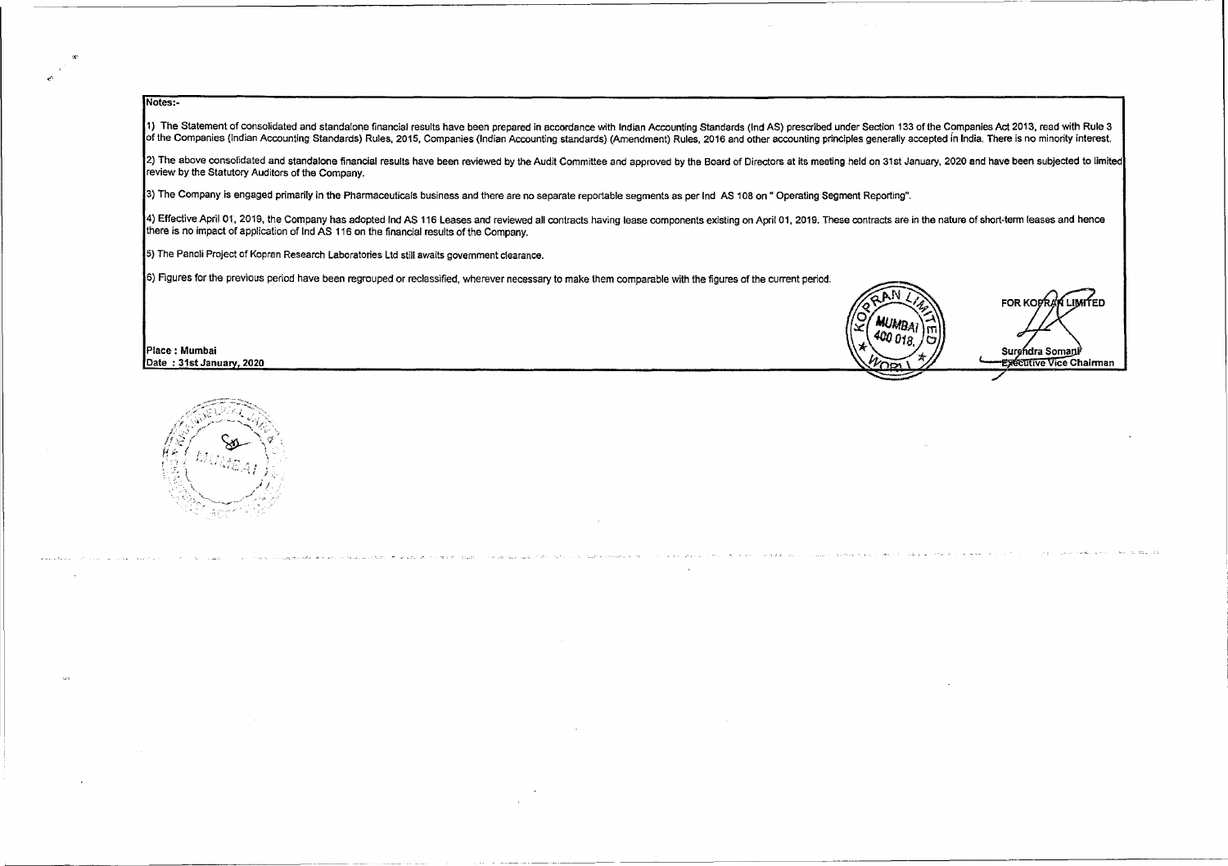### Notes:-

<'·

 $\sim$ 

1) The Statement of consolidated and standalone financial results have been prepared in accordance with Indian Accounting Standards (Ind AS) prescribed under Section 133 of the Companies Act 2013, read with Rule 3 of the Companies (Indian Accounting Standards) Rules, 2015, Companies (Indian Accounting standards) (Amendment) Rules, 2016 and other accounting principles generally accepted fn India. There is no minority interest

2) The above consolidated and standalone financial results have been reviewed by the Audit Committee and approved by the Board of Directors at its meeting held on 31st January, 2020 and have been subjected to limited review by the Statutory Auditors of the Company.

3) The Company is engaged primarily in the Pharmaceuticals business and there are no separate reportable segments as per Ind AS 108 on" Operating Segment Reporting".

4) Effective April 01, 2019, the Company has adopted Ind AS 116 Leases and reviewed all contracts having lease components existing on April 01, 2019. These contracts are in the nature of short-term leases and hence there is no impact of application of Ind AS 116 on the financial results of the Company.

5) The Panoli Project of Kopran Research Laboratories Ltd still awaits government clearance.

6) Figures for the previous period have been regrouped or reclassified, wherever necessary to make them comparable with the figures of the current period.<br>**PARTICALLIMITED** 



and states and a

The company of the company of the company of the

Place : Mumbai Surghdra Somani<sup>}</sup> Surghdra Somani<sup>}</sup> Surghdra Somani<sup>}</sup> Surghdra Somani<sup>}</sup> Surghdra Somani<sup>}</sup> Surghdra Somani<sup>}</sup>



Date : 31st Januarv. 2020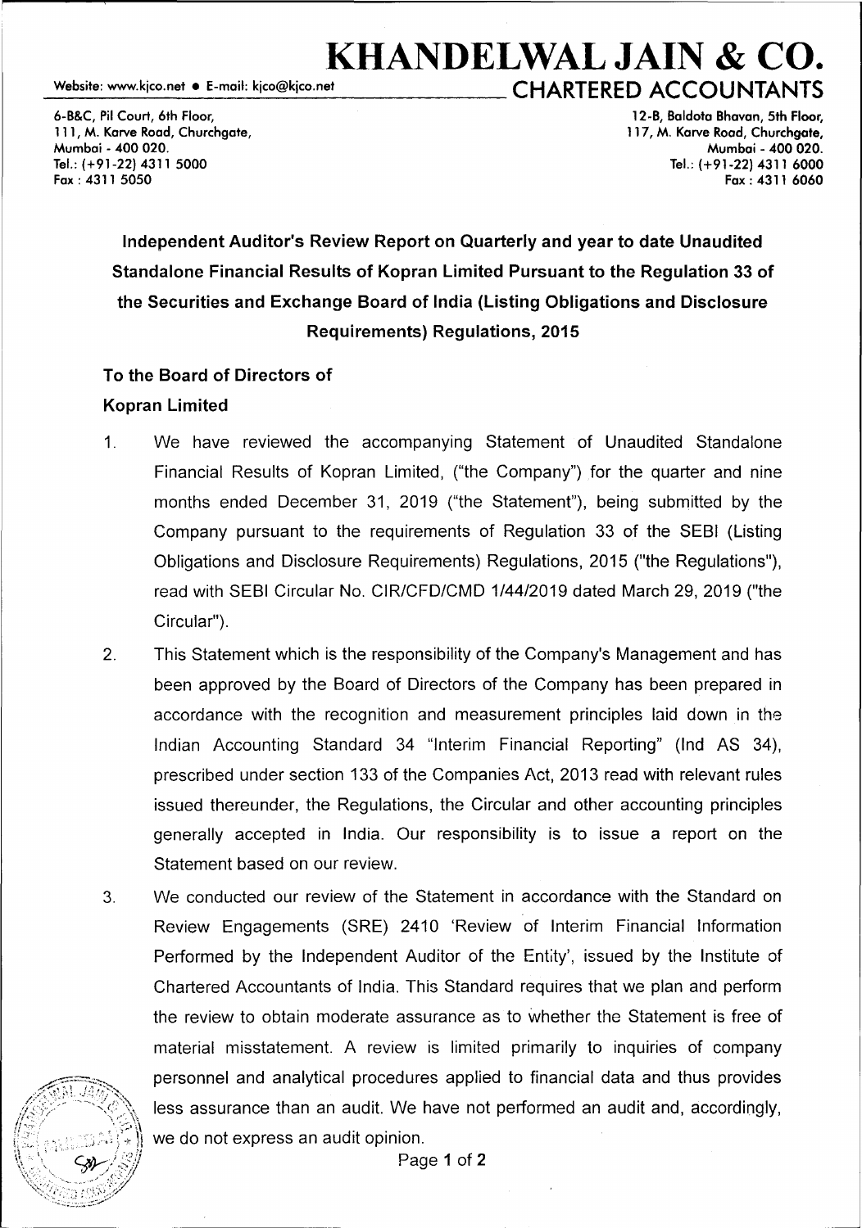**KHANDELWAL JAIN & CO.**<br>CHARTERED ACCOUNTANTS

6-B&C, Pil Court, 6th Floor, 111, M. Karve Road, Churchgate, Mumbai - 400 020. Tel.: (+91-22) 4311 5000 Fax: 4311 5050

12-B, Baldota Bhavan, 5th Floor, 117, M. Karve Road, Churchgate, Mumbai - 400 020. Tel.: (+91-22) 4311 6000 Fax: 4311 6060

# Independent Auditor's Review Report on Quarterly and year to date Unaudited Standalone Financial Results of Kopran Limited Pursuant to the Regulation 33 of the Securities and Exchange Board of India (Listing Obligations and Disclosure Requirements) Regulations, 2015

## To the Board of Directors of Kopran Limited

- 1. We have reviewed the accompanying Statement of Unaudited Standalone Financial Results of Kopran Limited, ("the Company") for the quarter and nine months ended December 31, 2019 ("the Statement"), being submitted by the Company pursuant to the requirements of Regulation 33 of the SEBI (Listing Obligations and Disclosure Requirements) Regulations, 2015 ("the Regulations"), read with SEBI Circular No. CIR/CFD/CMD 1/44/2019 dated March 29, 2019 ("the Circular").
- 2. This Statement which is the responsibility of the Company's Management and has been approved by the Board of Directors of the Company has been prepared in accordance with the recognition and measurement principles laid down in the Indian Accounting Standard 34 "Interim Financial Reporting" (Ind AS 34), prescribed under section 133 of the Companies Act, 2013 read with relevant rules issued thereunder, the Regulations, the Circular and other accounting principles generally accepted in India. Our responsibility is to issue a report on the Statement based on our review.
- 3. We conducted our review of the Statement in accordance with the Standard on Review Engagements (SRE) 2410 'Review of Interim Financial Information Performed by the Independent Auditor of the Entity', issued by the Institute of Chartered Accountants of India. This Standard requires that we plan and perform the review to obtain moderate assurance as to whether the Statement is free of material misstatement. A review is limited primarily to inquiries of company personnel and analytical procedures applied to financial data and thus provides less assurance than an audit. We have not performed an audit and, accordingly, we do not express an audit opinion.

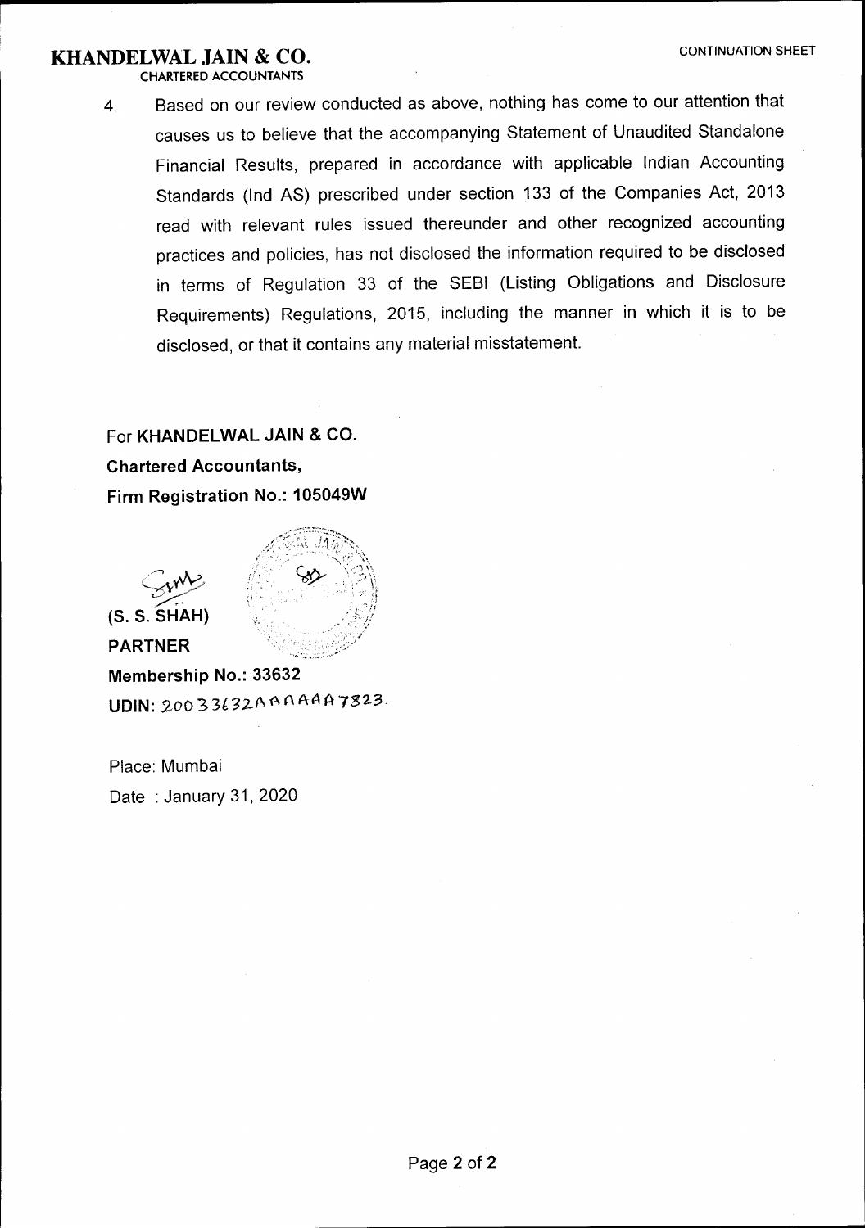## **KHANDELWAL JAIN & CO. CONTINUATION SHEET**

CHARTERED ACCOUNTANTS

4. Based on our review conducted as above, nothing has come to our attention that causes us to believe that the accompanying Statement of Unaudited Standalone Financial Results, prepared in accordance with applicable Indian Accounting Standards (Ind AS) prescribed under section 133 of the Companies Act, 2013 read with relevant rules issued thereunder and other recognized accounting practices and policies, has not disclosed the information required to be disclosed in terms of Regulation 33 of the SEBI (Listing Obligations and Disclosure Requirements) Regulations, 2015, including the manner in which it is to be disclosed, or that it contains any material misstatement.

## For **KHANDELWAL JAIN & CO. Chartered Accountants, Firm Registration No.: 105049W**



**PARTNER** 



**Membership No.: 33632 UDIN:** 20033l32.A~AAAA7323.

Place: Mumbai Date : January 31, 2020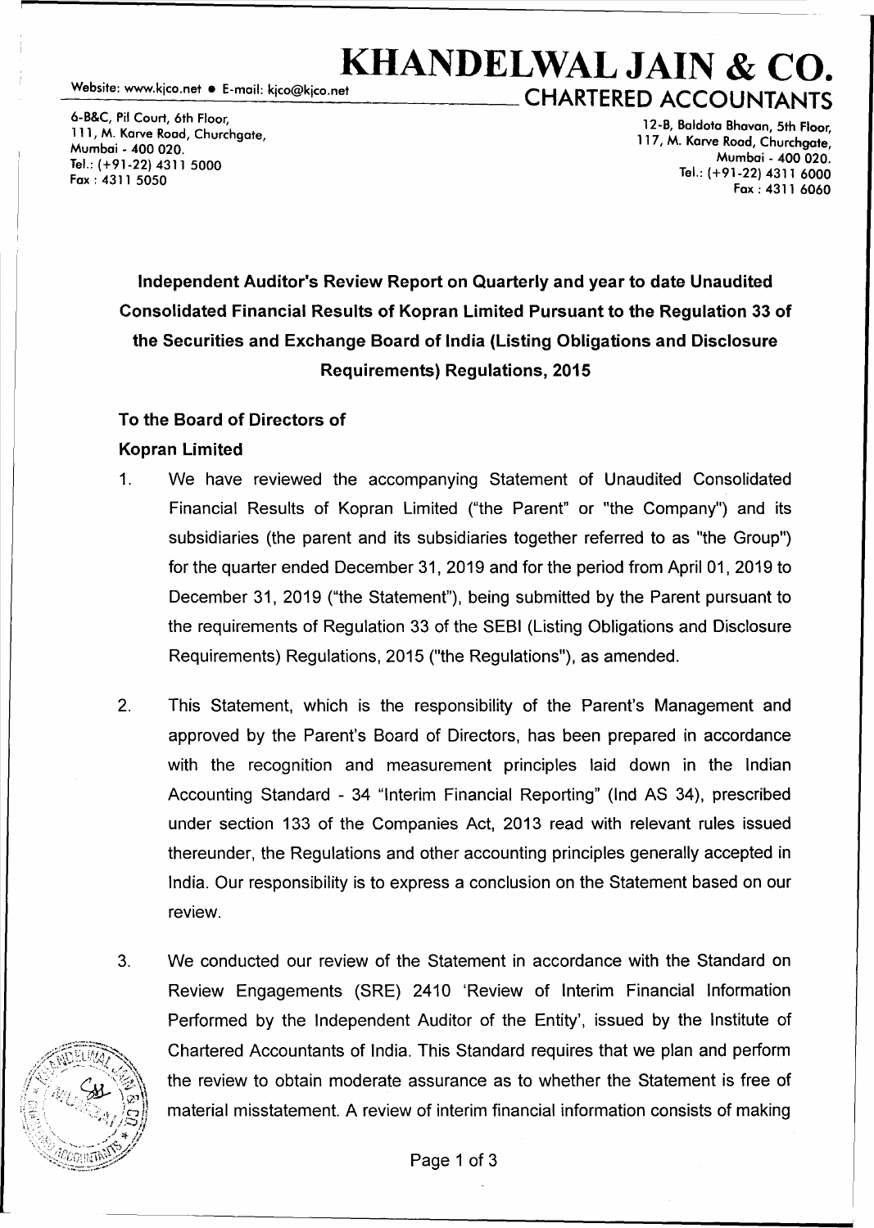**KHANDELWAL JAIN & CO.**<br>Website: www.kico.net • E-mail: kico@kico.net<br>CHARTERED 4660111 ITALITS **CHARTERED ACCOUNTANTS** 

6-B&C, Pit Court, 6th Floor, 111, M. Karve Road, Churchgate, Mumbai - 400 020. Tel.: (+91-22) 4311 5000 Fax: 4311 5050

12-B, Baldota Bhavan, 5th Floor, 117, M. Karve Road, Churchgate, Mumbai - 400 020. Tel.: (+91-22) 4311 6000 Fax: 4311 6060

**Independent Auditor's Review Report on Quarterly and year to date Unaudited Consolidated Financial Results of Kopran Limited Pursuant to the Regulation 33 of the Securities and Exchange Board of India (Listing Obligations and Disclosure Requirements) Regulations, 2015** 

### **To the Board of Directors of**

### **Kopran Limited**

- 1. We have reviewed the accompanying Statement of Unaudited Consolidated Financial Results of Kopran Limited ("the Parent" or "the Company") and its subsidiaries (the parent and its subsidiaries together referred to as "the Group") for the quarter ended December 31, 2019 and for the period from April 01, 2019 to December 31, 2019 ("the Statement"), being submitted by the Parent pursuant to the requirements of Regulation 33 of the SEBI (Listing Obligations and Disclosure Requirements) Regulations, 2015 ("the Regulations"), as amended.
- 2. This Statement, which is the responsibility of the Parent's Management and approved by the Parent's Board of Directors, has been prepared in accordance with the recognition and measurement principles laid down in the Indian Accounting Standard - 34 "Interim Financial Reporting" (Ind AS 34), prescribed under section 133 of the Companies Act, 2013 read with relevant rules issued thereunder, the Regulations and other accounting principles generally accepted in India. Our responsibility is to express a conclusion on the Statement based on our review.
- 3. We conducted our review of the Statement in accordance with the Standard on Review Engagements (SRE) 2410 'Review of Interim Financial Information Performed by the Independent Auditor of the Entity', issued by the Institute of Chartered Accountants of India. This Standard requires that we plan and perform the review to obtain moderate assurance as to whether the Statement is free of material misstatement. A review of interim financial information consists of making

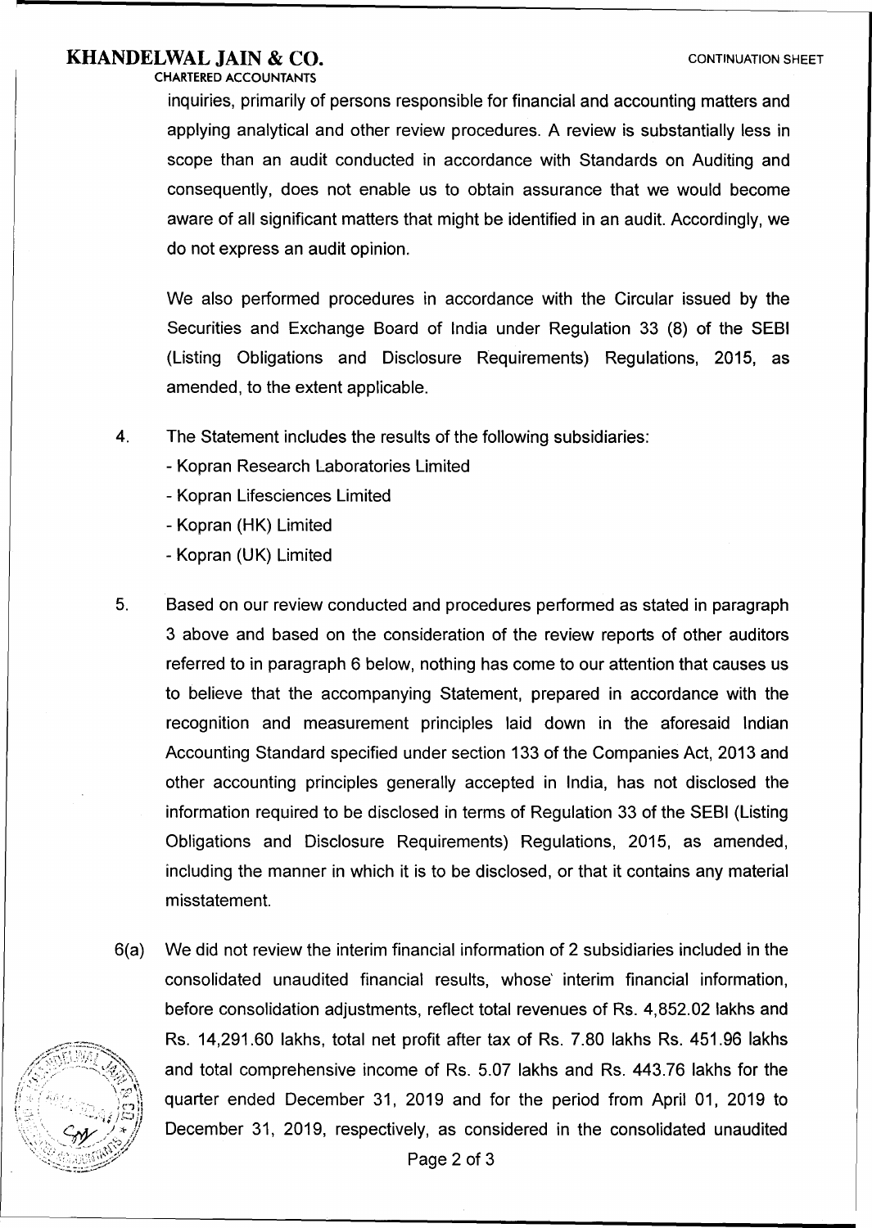### **KHANDELWAL JAIN & CO.** CONTINUATION SHEET

CHARTERED ACCOUNTANTS

inquiries, primarily of persons responsible for financial and accounting matters and applying analytical and other review procedures. A review is substantially less in scope than an audit conducted in accordance with Standards on Auditing and consequently, does not enable us to obtain assurance that we would become aware of all significant matters that might be identified in an audit. Accordingly, we do not express an audit opinion.

We also performed procedures in accordance with the Circular issued by the Securities and Exchange Board of India under Regulation 33 (8) of the SEBI (Listing Obligations and Disclosure Requirements) Regulations, 2015, as amended, to the extent applicable.

- 4. The Statement includes the results of the following subsidiaries:
	- Kopran Research Laboratories Limited
	- Kopran Lifesciences Limited
	- Kopran (HK) Limited
	- Kopran (UK) Limited
- 5. Based on our review conducted and procedures performed as stated in paragraph 3 above and based on the consideration of the review reports of other auditors referred to in paragraph 6 below, nothing has come to our attention that causes us to believe that the accompanying Statement, prepared in accordance with the recognition and measurement principles laid down in the aforesaid Indian Accounting Standard specified under section 133 of the Companies Act, 2013 and other accounting principles generally accepted in India, has not disclosed the information required to be disclosed in terms of Regulation 33 of the SEBI (Listing Obligations and Disclosure Requirements) Regulations, 2015, as amended, including the manner in which it is to be disclosed, or that it contains any material misstatement.
- 6(a) We did not review the interim financial information of 2 subsidiaries included in the consolidated unaudited financial results, whose' interim financial information, before consolidation adjustments, reflect total revenues of Rs. 4,852.02 lakhs and Rs. 14,291.60 lakhs, total net profit after tax of Rs. 7.80 lakhs Rs. 451.96 lakhs and total comprehensive income of Rs. 5.07 lakhs and Rs. 443.76 lakhs for the quarter ended December 31, 2019 and for the period from April 01, 2019 to December 31, 2019, respectively, as considered in the consolidated unaudited